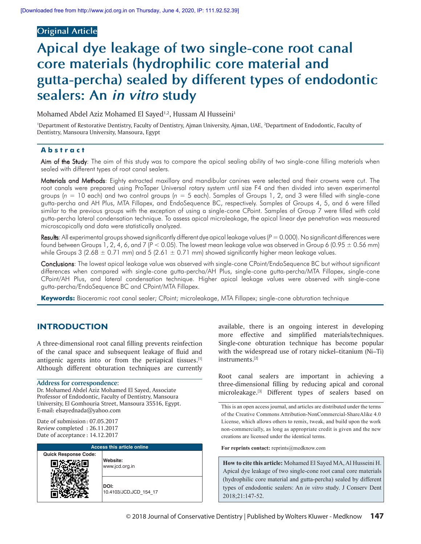# **Original Article**

# **Apical dye leakage of two single‑cone root canal core materials (hydrophilic core material and gutta‑percha) sealed by different types of endodontic sealers: An in vitro study**

Mohamed Abdel Aziz Mohamed El Sayed<sup>1,2</sup>, Hussam Al Husseini<sup>1</sup>

<sup>1</sup>Department of Restorative Dentistry, Faculty of Dentistry, Ajman University, Ajman, UAE, <sup>2</sup>Department of Endodontic, Faculty of Dentistry, Mansoura University, Mansoura, Egypt

## **Abstract**

Aim of the Study: The aim of this study was to compare the apical sealing ability of two single-cone filling materials when sealed with different types of root canal sealers.

Materials and Methods: Eighty extracted maxillary and mandibular canines were selected and their crowns were cut. The root canals were prepared using ProTaper Universal rotary system until size F4 and then divided into seven experimental groups ( $n = 10$  each) and two control groups ( $n = 5$  each). Samples of Groups 1, 2, and 3 were filled with single-cone gutta-percha and AH Plus, MTA Fillapex, and EndoSequence BC, respectively. Samples of Groups 4, 5, and 6 were filled similar to the previous groups with the exception of using a single-cone CPoint. Samples of Group 7 were filled with cold gutta-percha lateral condensation technique. To assess apical microleakage, the apical linear dye penetration was measured microscopically and data were statistically analyzed.

Results: All experimental groups showed significantly different dye apical leakage values (*P* = 0.000). No significant differences were found between Groups 1, 2, 4, 6, and 7 ( $P < 0.05$ ). The lowest mean leakage value was observed in Group 6 (0.95  $\pm$  0.56 mm) while Groups 3 (2.68  $\pm$  0.71 mm) and 5 (2.61  $\pm$  0.71 mm) showed significantly higher mean leakage values.

Conclusions: The lowest apical leakage value was observed with single-cone CPoint/EndoSequence BC but without significant differences when compared with single-cone gutta-percha/AH Plus, single-cone gutta-percha/MTA Fillapex, single-cone CPoint/AH Plus, and lateral condensation technique. Higher apical leakage values were observed with single‑cone gutta‑percha/EndoSequence BC and CPoint/MTA Fillapex.

Keywords: Bioceramic root canal sealer; CPoint; microleakage, MTA Fillapex; single-cone obturation technique

# **INTRODUCTION**

A three-dimensional root canal filling prevents reinfection of the canal space and subsequent leakage of fluid and antigenic agents into or from the periapical tissues. $[1]$ Although different obturation techniques are currently

#### **Address for correspondence:**

Dr. Mohamed Abdel Aziz Mohamed El Sayed, Associate Professor of Endodontic, Faculty of Dentistry, Mansoura University, El Gomhouria Street, Mansoura 35516, Egypt. E-mail: elsayednada@yahoo.com

Date of submission : 07.05.2017 Review completed : 26.11.2017 Date of acceptance : 14.12.2017

| <b>Access this article online</b> |                                |  |  |  |
|-----------------------------------|--------------------------------|--|--|--|
| <b>Quick Response Code:</b>       | Website:<br>www.jcd.org.in     |  |  |  |
|                                   | DOI:<br>10.4103/JCD.JCD 154 17 |  |  |  |

available, there is an ongoing interest in developing more effective and simplified materials/techniques. Single-cone obturation technique has become popular with the widespread use of rotary nickel–titanium (Ni–Ti) instruments.[2]

Root canal sealers are important in achieving a three-dimensional filling by reducing apical and coronal microleakage.<a>[3]</a> Different types of sealers based on

This is an open access journal, and articles are distributed under the terms of the Creative Commons Attribution-NonCommercial-ShareAlike 4.0 License, which allows others to remix, tweak, and build upon the work non-commercially, as long as appropriate credit is given and the new creations are licensed under the identical terms.

For reprints contact: reprints@medknow.com

**How to cite this article:** Mohamed El Sayed MA, Al Husseini H. Apical dye leakage of two single-cone root canal core materials (hydrophilic core material and gutta-percha) sealed by different types of endodontic sealers: An *in vitro* study. J Conserv Dent 2018;21:147-52.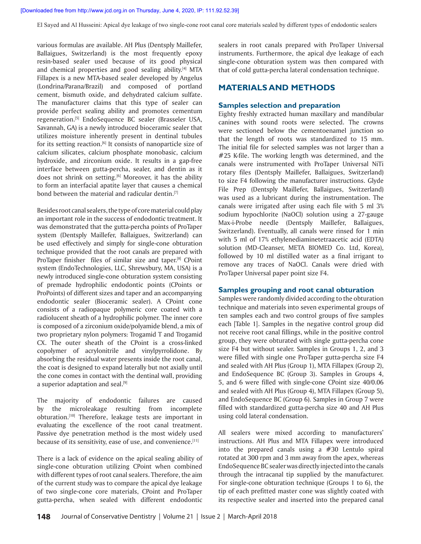various formulas are available. AH Plus (Dentsply Maillefer, Ballaigues, Switzerland) is the most frequently epoxy resin-based sealer used because of its good physical and chemical properties and good sealing ability.<sup>[4]</sup> MTA Fillapex is a new MTA-based sealer developed by Angelus (Londrina/Parana/Brazil) and composed of portland cement, bismuth oxide, and dehydrated calcium sulfate. The manufacturer claims that this type of sealer can provide perfect sealing ability and promotes cementum regeneration.[5] EndoSequence BC sealer (Brasseler USA, Savannah, GA) is a newly introduced bioceramic sealer that utilizes moisture inherently present in dentinal tubules for its setting reaction.<sup>[6]</sup> It consists of nanoparticle size of calcium silicates, calcium phosphate monobasic, calcium hydroxide, and zirconium oxide. It results in a gap-free interface between gutta-percha, sealer, and dentin as it does not shrink on setting.<sup>[6]</sup> Moreover, it has the ability to form an interfacial apatite layer that causes a chemical bond between the material and radicular dentin.<sup>[7]</sup>

Besides root canal sealers, the type of core material could play an important role in the success of endodontic treatment. It was demonstrated that the gutta-percha points of ProTaper system (Dentsply Maillefer, Ballaigues, Switzerland) can be used effectively and simply for single-cone obturation technique provided that the root canals are prepared with ProTaper finisher files of similar size and taper.<sup>[8]</sup> CPoint system (EndoTechnologies, LLC, Shrewsbury, MA, USA) is a newly introduced single-cone obturation system consisting of premade hydrophilic endodontic points (CPoints or ProPoints) of different sizes and taper and an accompanying endodontic sealer (Bioceramic sealer). A CPoint cone consists of a radiopaque polymeric core coated with a radiolucent sheath of a hydrophilic polymer. The inner core is composed of a zirconium oxide/polyamide blend, a mix of two proprietary nylon polymers: Trogamid T and Trogamid CX. The outer sheath of the CPoint is a cross-linked copolymer of acrylonitrile and vinylpyrrolidone. By absorbing the residual water presents inside the root canal, the coat is designed to expand laterally but not axially until the cone comes in contact with the dentinal wall, providing a superior adaptation and seal.<sup>[9]</sup>

The majority of endodontic failures are caused by the microleakage resulting from incomplete obturation.[10] Therefore, leakage tests are important in evaluating the excellence of the root canal treatment. Passive dye penetration method is the most widely used because of its sensitivity, ease of use, and convenience.<sup>[11]</sup>

There is a lack of evidence on the apical sealing ability of single-cone obturation utilizing CPoint when combined with different types of root canal sealers. Therefore, the aim of the current study was to compare the apical dye leakage of two single-cone core materials, CPoint and ProTaper gutta-percha, when sealed with different endodontic sealers in root canals prepared with ProTaper Universal instruments. Furthermore, the apical dye leakage of each single-cone obturation system was then compared with that of cold gutta-percha lateral condensation technique.

# **MATERIALS AND METHODS**

## **Samples selection and preparation**

Eighty freshly extracted human maxillary and mandibular canines with sound roots were selected. The crowns were sectioned below the cementoenamel junction so that the length of roots was standardized to 15 mm. The initial file for selected samples was not larger than a #25 K-file. The working length was determined, and the canals were instrumented with ProTaper Universal NiTi rotary files (Dentsply Maillefer, Ballaigues, Switzerland) to size F4 following the manufacturer instructions. Glyde File Prep (Dentsply Maillefer, Ballaigues, Switzerland) was used as a lubricant during the instrumentation. The canals were irrigated after using each file with 5 ml 3% sodium hypochlorite (NaOCl) solution using a 27-gauge Max-i-Probe needle (Dentsply Maillefer, Ballaigues, Switzerland). Eventually, all canals were rinsed for 1 min with 5 ml of 17% ethylenediaminetetraacetic acid (EDTA) solution (MD-Cleanser, META BIOMED Co. Ltd, Korea), followed by 10 ml distilled water as a final irrigant to remove any traces of NaOCl. Canals were dried with ProTaper Universal paper point size F4.

### **Samples grouping and root canal obturation**

Samples were randomly divided according to the obturation technique and materials into seven experimental groups of ten samples each and two control groups of five samples each [Table 1]. Samples in the negative control group did not receive root canal fillings, while in the positive control group, they were obturated with single gutta-percha cone size F4 but without sealer. Samples in Groups 1, 2, and 3 were filled with single one ProTaper gutta-percha size F4 and sealed with AH Plus (Group 1), MTA Fillapex (Group 2), and EndoSequence BC (Group 3). Samples in Groups 4, 5, and 6 were filled with single-cone CPoint size 40/0.06 and sealed with AH Plus (Group 4), MTA Fillapex (Group 5), and EndoSequence BC (Group 6). Samples in Group 7 were filled with standardized gutta-percha size 40 and AH Plus using cold lateral condensation.

All sealers were mixed according to manufacturers' instructions. AH Plus and MTA Fillapex were introduced into the prepared canals using a #30 Lentulo spiral rotated at 300 rpm and 3 mm away from the apex, whereas EndoSequence BC sealer was directly injected into the canals through the intracanal tip supplied by the manufacturer. For single-cone obturation technique (Groups 1 to 6), the tip of each prefitted master cone was slightly coated with its respective sealer and inserted into the prepared canal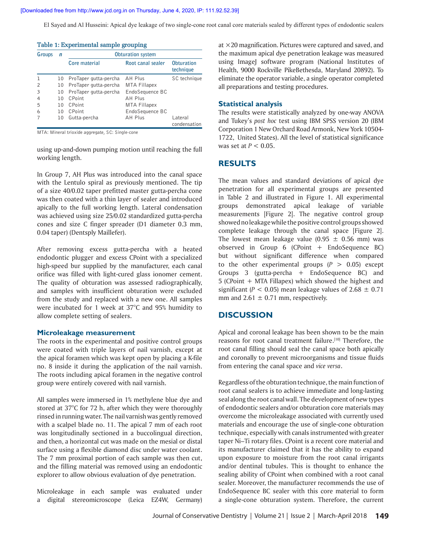| Table 1: Experimental sample grouping |    |                          |                     |                                |  |  |  |  |
|---------------------------------------|----|--------------------------|---------------------|--------------------------------|--|--|--|--|
| Groups                                | n  | <b>Obturation system</b> |                     |                                |  |  |  |  |
|                                       |    | Core material            | Root canal sealer   | <b>Obturation</b><br>technique |  |  |  |  |
|                                       | 10 | ProTaper gutta-percha    | AH Plus             | SC technique                   |  |  |  |  |
| $\mathcal{P}$                         | 10 | ProTaper gutta-percha    | <b>MTA Fillapex</b> |                                |  |  |  |  |
| 3                                     | 10 | ProTaper gutta-percha    | EndoSequence BC     |                                |  |  |  |  |
| 4                                     | 10 | CPoint                   | AH Plus             |                                |  |  |  |  |
| 5                                     | 10 | CPoint                   | <b>MTA Fillapex</b> |                                |  |  |  |  |
| 6                                     | 10 | <b>CPoint</b>            | EndoSequence BC     |                                |  |  |  |  |
|                                       | 10 | Gutta-percha             | AH Plus             | I ateral<br>condensation       |  |  |  |  |

MTA: Mineral trioxide aggregate, SC: Single-cone

using up-and-down pumping motion until reaching the full working length.

In Group 7, AH Plus was introduced into the canal space with the Lentulo spiral as previously mentioned. The tip of a size 40/0.02 taper prefitted master gutta-percha cone was then coated with a thin layer of sealer and introduced apically to the full working length. Lateral condensation was achieved using size 25/0.02 standardized gutta-percha cones and size C finger spreader (D1 diameter 0.3 mm, 0.04 taper) (Dentsply Maillefer).

After removing excess gutta-percha with a heated endodontic plugger and excess CPoint with a specialized high-speed bur supplied by the manufacturer, each canal orifice was filled with light-cured glass ionomer cement. The quality of obturation was assessed radiographically, and samples with insufficient obturation were excluded from the study and replaced with a new one. All samples were incubated for 1 week at 37°C and 95% humidity to allow complete setting of sealers.

#### **Microleakage measurement**

The roots in the experimental and positive control groups were coated with triple layers of nail varnish, except at the apical foramen which was kept open by placing a K-file no. 8 inside it during the application of the nail varnish. The roots including apical foramen in the negative control group were entirely covered with nail varnish.

All samples were immersed in 1% methylene blue dye and stored at 37°C for 72 h, after which they were thoroughly rinsed in running water. The nail varnish was gently removed with a scalpel blade no. 11. The apical 7 mm of each root was longitudinally sectioned in a buccolingual direction, and then, a horizontal cut was made on the mesial or distal surface using a flexible diamond disc under water coolant. The 7 mm proximal portion of each sample was then cut, and the filling material was removed using an endodontic explorer to allow obvious evaluation of dye penetration.

Microleakage in each sample was evaluated under a digital stereomicroscope (Leica EZ4W, Germany) at  $\times$  20 magnification. Pictures were captured and saved, and the maximum apical dye penetration leakage was measured using ImageJ software program (National Institutes of Health, 9000 Rockville PikeBethesda, Maryland 20892). To eliminate the operator variable, a single operator completed all preparations and testing procedures.

#### **Statistical analysis**

The results were statistically analyzed by one-way ANOVA and Tukey's *post hoc* test using IBM SPSS version 20 (IBM Corporation 1 New Orchard Road Armonk, New York 10504- 1722, United States). All the level of statistical significance was set at *P* < 0.05.

## **RESULTS**

The mean values and standard deviations of apical dye penetration for all experimental groups are presented in Table 2 and illustrated in Figure 1. All experimental groups demonstrated apical leakage of variable measurements [Figure 2]. The negative control group showed no leakage while the positive control groups showed complete leakage through the canal space [Figure 2]. The lowest mean leakage value  $(0.95 \pm 0.56 \text{ mm})$  was observed in Group  $6$  (CPoint  $+$  EndoSequence BC) but without significant difference when compared to the other experimental groups  $(P > 0.05)$  except Groups 3 (gutta-percha + EndoSequence BC) and 5 (CPoint + MTA Fillapex) which showed the highest and significant ( $P < 0.05$ ) mean leakage values of 2.68  $\pm$  0.71 mm and  $2.61 \pm 0.71$  mm, respectively.

## **DISCUSSION**

Apical and coronal leakage has been shown to be the main reasons for root canal treatment failure.<sup>[10]</sup> Therefore, the root canal filling should seal the canal space both apically and coronally to prevent microorganisms and tissue fluids from entering the canal space and *vice versa*.

Regardless of the obturation technique, the main function of root canal sealers is to achieve immediate and long-lasting seal along the root canal wall. The development of new types of endodontic sealers and/or obturation core materials may overcome the microleakage associated with currently used materials and encourage the use of single-cone obturation technique, especially with canals instrumented with greater taper Ni–Ti rotary files. CPoint is a recent core material and its manufacturer claimed that it has the ability to expand upon exposure to moisture from the root canal irrigants and/or dentinal tubules. This is thought to enhance the sealing ability of CPoint when combined with a root canal sealer. Moreover, the manufacturer recommends the use of EndoSequence BC sealer with this core material to form a single-cone obturation system. Therefore, the current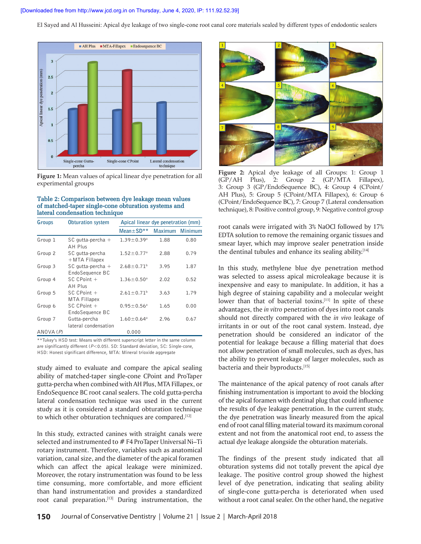



#### **Table 2: Comparison between dye leakage mean values of matched‑taper single‑cone obturation systems and lateral condensation technique**

| Groups   | <b>Obturation system</b>                  | Apical linear dye penetration (mm) |                |         |
|----------|-------------------------------------------|------------------------------------|----------------|---------|
|          |                                           | Mean $\pm$ SD**                    | <b>Maximum</b> | Minimum |
| Group 1  | SC qutta-percha $+$<br>AH Plus            | $1.39 \pm 0.39$ <sup>a</sup>       | 1.88           | 0.80    |
| Group 2  | SC gutta-percha<br>$+$ MTA Fillapex       | $1.52 \pm 0.77$ <sup>a</sup>       | 2.88           | 0.79    |
| Group 3  | SC qutta-percha $+$<br>EndoSequence BC    | $2.68 \pm 0.71$ <sup>b</sup>       | 3.95           | 1.87    |
| Group 4  | $SC$ $C$ Point $+$<br>AH Plus             | $1.36 \pm 0.50$ <sup>a</sup>       | 2.02           | 0.52    |
| Group 5  | $SC$ $C$ Point $+$<br><b>MTA Fillapex</b> | $2.61 \pm 0.71^b$                  | 3.63           | 1.79    |
| Group 6  | $SC$ $C$ Point $+$<br>EndoSequence BC     | $0.95 \pm 0.56^a$                  | 1.65           | 0.00    |
| Group 7  | Gutta-percha<br>lateral condensation      | $1.60 \pm 0.64$ <sup>a</sup>       | 2.96           | 0.67    |
| ANOVA(P) |                                           | 0.000                              |                |         |

\*\*Tukey's HSD test: Means with different superscript letter in the same column are significantly different ( $P$ <0.05). SD: Standard deviation, SC: Single-cone, HSD: Honest significant difference, MTA: Mineral trioxide aggregate

study aimed to evaluate and compare the apical sealing ability of matched-taper single-cone CPoint and ProTaper gutta-percha when combined with AH Plus, MTA Fillapex, or EndoSequence BC root canal sealers. The cold gutta-percha lateral condensation technique was used in the current study as it is considered a standard obturation technique to which other obturation techniques are compared.<sup>[12]</sup>

In this study, extracted canines with straight canals were selected and instrumented to # F4 ProTaper Universal Ni–Ti rotary instrument. Therefore, variables such as anatomical variation, canal size, and the diameter of the apical foramen which can affect the apical leakage were minimized. Moreover, the rotary instrumentation was found to be less time consuming, more comfortable, and more efficient than hand instrumentation and provides a standardized root canal preparation.<sup>[13]</sup> During instrumentation, the



**Figure 2:** Apical dye leakage of all Groups: 1: Group 1 (GP/AH Plus), 2: Group 2 (GP/MTA Fillapex), 3: Group 3 (GP/EndoSequence BC), 4: Group 4 (CPoint/ AH Plus), 5: Group 5 (CPoint/MTA Fillapex), 6: Group 6 (CPoint/EndoSequence BC), 7: Group 7 (Lateral condensation technique), 8: Positive control group, 9: Negative control group

root canals were irrigated with 3% NaOCl followed by 17% EDTA solution to remove the remaining organic tissues and smear layer, which may improve sealer penetration inside the dentinal tubules and enhance its sealing ability.<sup>[14]</sup>

In this study, methylene blue dye penetration method was selected to assess apical microleakage because it is inexpensive and easy to manipulate. In addition, it has a high degree of staining capability and a molecular weight lower than that of bacterial toxins.<sup>[11]</sup> In spite of these advantages, the *in vitro* penetration of dyes into root canals should not directly compared with the *in vivo* leakage of irritants in or out of the root canal system. Instead, dye penetration should be considered an indicator of the potential for leakage because a filling material that does not allow penetration of small molecules, such as dyes, has the ability to prevent leakage of larger molecules, such as bacteria and their byproducts.[15]

The maintenance of the apical patency of root canals after finishing instrumentation is important to avoid the blocking of the apical foramen with dentinal plug that could influence the results of dye leakage penetration. In the current study, the dye penetration was linearly measured from the apical end of root canal filling material toward its maximum coronal extent and not from the anatomical root end, to assess the actual dye leakage alongside the obturation materials.

The findings of the present study indicated that all obturation systems did not totally prevent the apical dye leakage. The positive control group showed the highest level of dye penetration, indicating that sealing ability of single-cone gutta-percha is deteriorated when used without a root canal sealer. On the other hand, the negative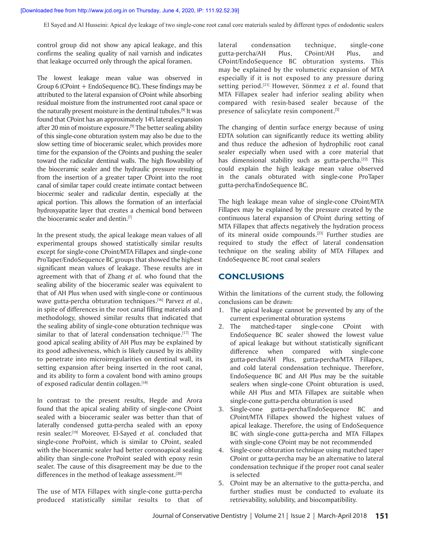control group did not show any apical leakage, and this confirms the sealing quality of nail varnish and indicates that leakage occurred only through the apical foramen.

The lowest leakage mean value was observed in Group 6 (CPoint + EndoSequence BC). These findings may be attributed to the lateral expansion of CPoint while absorbing residual moisture from the instrumented root canal space or the naturally present moisture in the dentinal tubules.[9] It was found that CPoint has an approximately 14% lateral expansion after 20 min of moisture exposure.<sup>[9]</sup> The better sealing ability of this single-cone obturation system may also be due to the slow setting time of bioceramic sealer, which provides more time for the expansion of the CPoints and pushing the sealer toward the radicular dentinal walls. The high flowability of the bioceramic sealer and the hydraulic pressure resulting from the insertion of a greater taper CPoint into the root canal of similar taper could create intimate contact between biocermic sealer and radicular dentin, especially at the apical portion. This allows the formation of an interfacial hydroxyapatite layer that creates a chemical bond between the bioceramic sealer and dentin.<sup>[7]</sup>

In the present study, the apical leakage mean values of all experimental groups showed statistically similar results except for single-cone CPoint/MTA Fillapex and single-cone ProTaper/EndoSequence BC groups that showed the highest significant mean values of leakage. These results are in agreement with that of Zhang *et al.* who found that the sealing ability of the bioceramic sealer was equivalent to that of AH Plus when used with single-cone or continuous wave gutta-percha obturation techniques.[16] Parvez *et al.*, in spite of differences in the root canal filling materials and methodology, showed similar results that indicated that the sealing ability of single-cone obturation technique was similar to that of lateral condensation technique.<sup>[17]</sup> The good apical sealing ability of AH Plus may be explained by its good adhesiveness, which is likely caused by its ability to penetrate into microirregularities on dentinal wall, its setting expansion after being inserted in the root canal, and its ability to form a covalent bond with amino groups of exposed radicular dentin collagen.[18]

In contrast to the present results, Hegde and Arora found that the apical sealing ability of single-cone CPoint sealed with a bioceramic sealer was better than that of laterally condensed gutta-percha sealed with an epoxy resin sealer.[19] Moreover, El-Sayed *et al.* concluded that single-cone ProPoint, which is similar to CPoint, sealed with the bioceramic sealer had better coronoapical sealing ability than single-cone ProPoint sealed with epoxy resin sealer. The cause of this disagreement may be due to the differences in the method of leakage assessment.<sup>[20]</sup>

The use of MTA Fillapex with single-cone gutta-percha produced statistically similar results to that of lateral condensation technique, single-cone gutta-percha/AH Plus, CPoint/AH Plus, and CPoint/EndoSequence BC obturation systems. This may be explained by the volumetric expansion of MTA especially if it is not exposed to any pressure during setting period.[21] However, Sönmez z *et al*. found that MTA Fillapex sealer had inferior sealing ability when compared with resin-based sealer because of the presence of salicylate resin component.<sup>[5]</sup>

The changing of dentin surface energy because of using EDTA solution can significantly reduce its wetting ability and thus reduce the adhesion of hydrophilic root canal sealer especially when used with a core material that has dimensional stability such as gutta-percha.<sup>[22]</sup> This could explain the high leakage mean value observed in the canals obturated with single-cone ProTaper gutta-percha/EndoSequence BC.

The high leakage mean value of single-cone CPoint/MTA Fillapex may be explained by the pressure created by the continuous lateral expansion of CPoint during setting of MTA Fillapex that affects negatively the hydration process of its mineral oxide compounds.<sup>[23]</sup> Further studies are required to study the effect of lateral condensation technique on the sealing ability of MTA Fillapex and EndoSequence BC root canal sealers

# **CONCLUSIONS**

Within the limitations of the current study, the following conclusions can be drawn:

- 1. The apical leakage cannot be prevented by any of the current experimental obturation systems
- 2. The matched-taper single-cone CPoint with EndoSequence BC sealer showed the lowest value of apical leakage but without statistically significant difference when compared with single-cone gutta-percha/AH Plus, gutta-percha/MTA Fillapex, and cold lateral condensation technique. Therefore, EndoSequence BC and AH Plus may be the suitable sealers when single-cone CPoint obturation is used, while AH Plus and MTA Fillapex are suitable when single-cone gutta-percha obturation is used
- 3. Single-cone gutta-percha/EndoSequence BC and CPoint/MTA Fillapex showed the highest values of apical leakage. Therefore, the using of EndoSequence BC with single-cone gutta-percha and MTA Fillapex with single-cone CPoint may be not recommended
- 4. Single-cone obturation technique using matched taper CPoint or gutta-percha may be an alternative to lateral condensation technique if the proper root canal sealer is selected
- 5. CPoint may be an alternative to the gutta-percha, and further studies must be conducted to evaluate its retrievability, solubility, and biocompatibility.